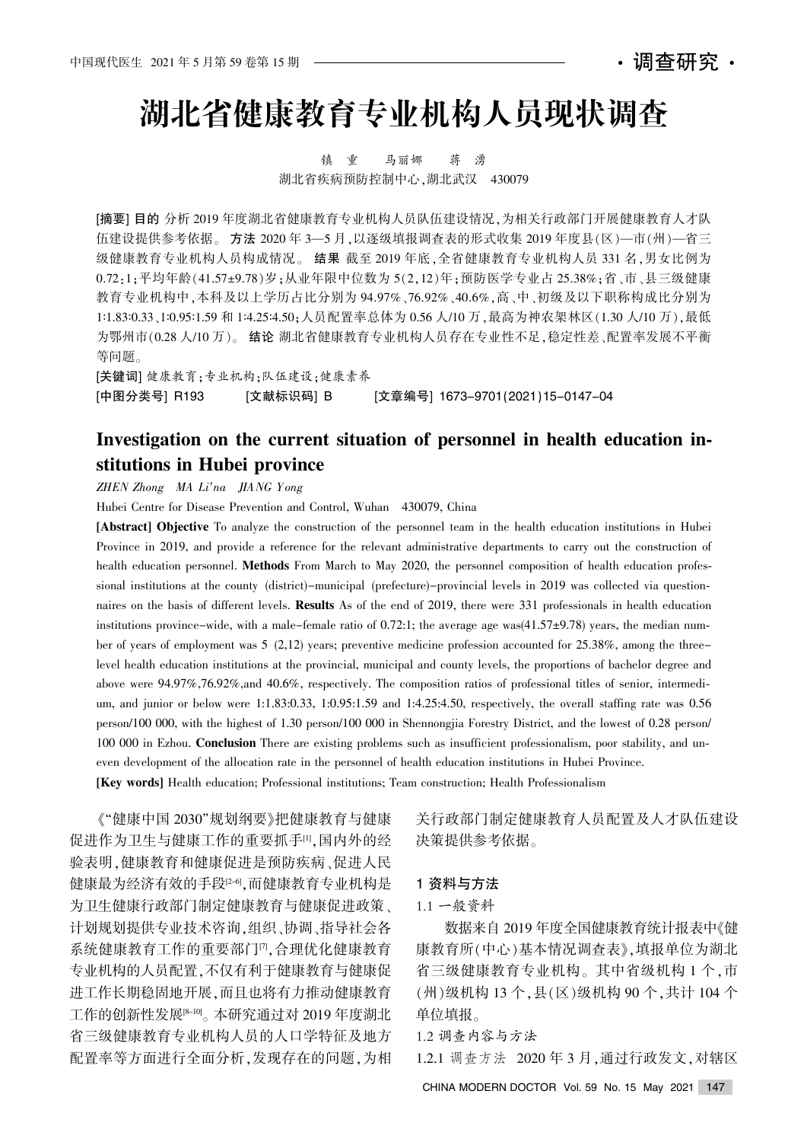# 湖北省健康教育专业机构人员现状调查

镇 重 马丽娜 蒋 湧 湖北省疾病预防控制中心,湖北武汉 430079

[摘要] 目的 分析 2019 年度湖北省健康教育专业机构人员队伍建设情况,为相关行政部门开展健康教育人才队 伍建设提供参考依据。方法 2020年 3-5 月,以逐级填报调查表的形式收集 2019 年度县(区)-市(州)-省三 级健康教育专业机构人员构成情况。结果 截至 2019 年底,全省健康教育专业机构人员 331 名,男女比例为  $0.72:1:\mathbb{R}$ 均年龄(41.57±9.78)岁:从业年限中位数为 5(2.12)年:预防医学专业占 25.38%:省、市、县三级健康 教育专业机构中,本科及以上学历占比分别为 94.97%、76.92%、40.6%,高、中、初级及以下职称构成比分别为 1:1.83:0.33、1:0.95:1.59 和 1:4.25:4.50;人员配置率总体为 0.56 人/10 万,最高为神农架林区(1.30 人/10 万),最低 为鄂州市(0.28 人/10 万)。 结论 湖北省健康教育专业机构人员存在专业性不足,稳定性差、配置率发展不平衡 等问题。

[关键词] 健康教育;专业机构;队伍建设;健康素养 [中图分类号] R193 [文献标识码] B [文章编号] 1673-9701(2021)15-0147-04

## Investigation on the current situation of personnel in health education institutions in Hubei province

ZHEN Zhong MA Li'na JIANG Yong

Hubei Centre for Disease Prevention and Control, Wuhan 430079, China

[Abstract] Objective To analyze the construction of the personnel team in the health education institutions in Hubei Province in 2019, and provide a reference for the relevant administrative departments to carry out the construction of health education personnel. Methods From March to May 2020, the personnel composition of health education professional institutions at the county (district)-municipal (prefecture)-provincial levels in 2019 was collected via questionnaires on the basis of different levels. Results As of the end of 2019, there were 331 professionals in health education institutions province-wide, with a male-female ratio of  $0.72:1$ ; the average age was $(41.57\pm9.78)$  years, the median number of years of employment was 5 (2,12) years; preventive medicine profession accounted for 25.38%, among the threelevel health education institutions at the provincial, municipal and county levels, the proportions of bachelor degree and above were  $94.97\%, 76.92\%,$  and  $40.6\%,$  respectively. The composition ratios of professional titles of senior, intermedium, and junior or below were 1:1.83:0.33, 1:0.95:1.59 and 1:4.25:4.50, respectively, the overall staffing rate was 0.56 person/100 000, with the highest of 1.30 person/100 000 in Shennongjia Forestry District, and the lowest of 0.28 person/ 100 000 in Ezhou. Conclusion There are existing problems such as insufficient professionalism, poor stability, and uneven development of the allocation rate in the personnel of health education institutions in Hubei Province. [Key words] Health education; Professional institutions; Team construction; Health Professionalism

《"健康中国 2030"规划纲要》把健康教育与健康 促进作为卫生与健康工作的重要抓手[1],国内外的经 验表明,健康教育和健康促进是预防疾病、促进人民 健康最为经济有效的手段[2-6],而健康教育专业机构是 为卫生健康行政部门制定健康教育与健康促进政策、 计划规划提供专业技术咨询,组织、协调、指导社会各 系统健康教育工作的重要部门[7],合理优化健康教育 专业机构的人员配置,不仅有利于健康教育与健康促 进工作长期稳固地开展,而且也将有力推动健康教育 工作的创新性发展[8-10]。本研究通过对 2019 年度湖北 省三级健康教育专业机构人员的人口学特征及地方 配置率等方面进行全面分析,发现存在的问题,为相

关行政部门制定健康教育人员配置及人才队伍建设 决策提供参考依据。

### 1 资料与方法

#### 1.1 一般资料

数据来自 2019年度全国健康教育统计报表中《健 康教育所(中心)基本情况调查表》,填报单位为湖北 省三级健康教育专业机构。其中省级机构 1 个,市 (州)级机构 13 个, 县(区)级机构 90 个, 共计 104 个 单位填报。

1.2 调查内容与方法

1.2.1 调查方法 2020年3月,通过行政发文,对辖区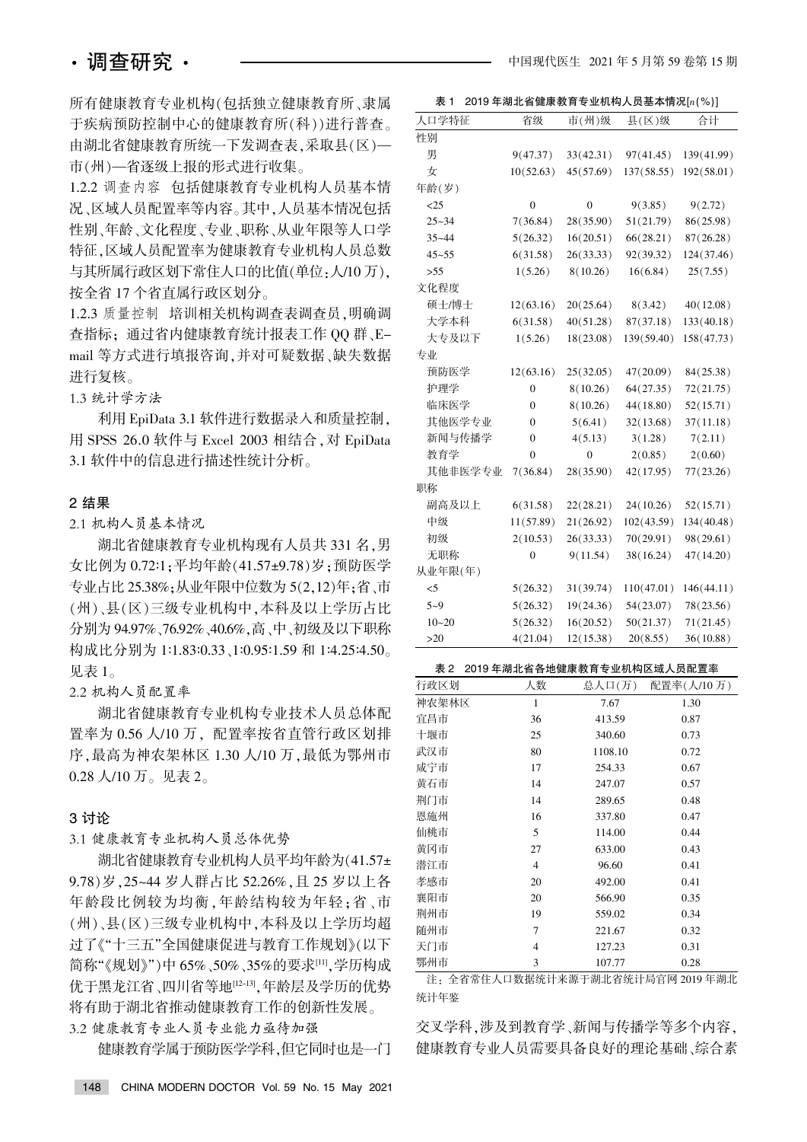所有健康教育专业机构(包括独立健康教育所、隶属 于疾病预防控制中心的健康教育所(科))进行普查。 由湖北省健康教育所统一下发调查表,采取县(区)— 市(州)—省逐级上报的形式进行收集。

1.2.2 调查内容 包括健康教育专业机构人员基本情 况、区域人员配置率等内容。其中,人员基本情况包括 性别、年龄、文化程度、专业、职称、从业年限等人口学 特征, 区域人员配置率为健康教育专业机构人员总数 与其所属行政区划下常住人口的比值(单位:人/10 万), 按全省17个省直属行政区划分。

1.2.3 质量控制 培训相关机构调查表调查员,明确调 查指标; 通过省内健康教育统计报表工作 QQ 群、Email 等方式进行填报咨询,并对可疑数据、缺失数据 进行复核。

1.3 统计学方法

利用 EpiData 3.1 软件进行数据录入和质量控制, 用 SPSS 26.0 软件与 Excel 2003 相结合, 对 EpiData 3.1 软件中的信息进行描述性统计分析。

#### 2 结果

2.1 机构人员基本情况

湖北省健康教育专业机构现有人员共 331 名,男 女比例为 0.72:1;平均年龄(41.57±9.78)岁;预防医学 专业占比 25.38%;从业年限中位数为 5(2,12)年;省、市 (州)、县(区)三级专业机构中,本科及以上学历占比 分别为 94.97%、76.92%、40.6%, 高、中、初级及以下职称 构成比分别为 1:1.83:0.33、1:0.95:1.59 和 1:4.25:4.50。 见表 $1<sub>°</sub>$ 

#### 2.2 机构人员配置率

湖北省健康教育专业机构专业技术人员总体配 置率为 0.56 人/10 万, 配置率按省直管行政区划排 序,最高为神农架林区 1.30 人/10 万,最低为鄂州市 0.28 人/10 万。见表 2。

#### 3 讨论

3.1 健康教育专业机构人员总体优势

湖北省健康教育专业机构人员平均年龄为(41.57± 9.78) 岁, 25~44 岁人群占比 52.26%, 且 25 岁以上各 年龄段比例较为均衡,年龄结构较为年轻:省、市 (州)、县(区)三级专业机构中,本科及以上学历均超 过了《"十三五"全国健康促进与教育工作规划》(以下 简称"《规划》")中 65%、50%、35%的要求[11],学历构成 优于黑龙江省、四川省等地[12-13],年龄层及学历的优势 将有助于湖北省推动健康教育工作的创新性发展。

3.2 健康教育专业人员专业能力亟待加强

健康教育学属于预防医学学科,但它同时也是一门

表 1 2019年湖北省健康教育专业机构人员基本情况[ $n$ (%)]

| 人口学特征     | 省级             | 市(州)级     | 县(区)级      | 合计          |
|-----------|----------------|-----------|------------|-------------|
| 性别        |                |           |            |             |
| 男         | 9(47.37)       | 33(42.31) | 97(41.45)  | 139(41.99)  |
| 女         | 10(52.63)      | 45(57.69) | 137(58.55) | 192(58.01)  |
| 年龄(岁)     |                |           |            |             |
| <25       | $\theta$       | $\Omega$  | 9(3.85)    | 9(2.72)     |
| $25 - 34$ | 7(36.84)       | 28(35.90) | 51(21.79)  | 86(25.98)   |
| $35 - 44$ | 5(26.32)       | 16(20.51) | 66(28.21)  | 87(26.28)   |
| $45 - 55$ | 6(31.58)       | 26(33.33) | 92(39.32)  | 124(37.46)  |
| >55       | 1(5.26)        | 8(10.26)  | 16(6.84)   | 25(7.55)    |
| 文化程度      |                |           |            |             |
| 硕士/博士     | 12(63.16)      | 20(25.64) | 8(3.42)    | 40(12.08)   |
| 大学本科      | 6(31.58)       | 40(51.28) | 87(37.18)  | 133(40.18)  |
| 大专及以下     | 1(5.26)        | 18(23.08) | 139(59.40) | 158(47.73)  |
| 专业        |                |           |            |             |
| 预防医学      | 12(63.16)      | 25(32.05) | 47(20.09)  | 84(25.38)   |
| 护理学       | $\overline{0}$ | 8(10.26)  | 64(27.35)  | 72(21.75)   |
| 临床医学      | $\theta$       | 8(10.26)  | 44(18.80)  | 52(15.71)   |
| 其他医学专业    | $\theta$       | 5(6.41)   | 32(13.68)  | 37(11.18)   |
| 新闻与传播学    | 0              | 4(5.13)   | 3(1.28)    | 7(2.11)     |
| 教育学       | $\Omega$       | 0         | 2(0.85)    | 2(0.60)     |
| 其他非医学专业   | 7(36.84)       | 28(35.90) | 42(17.95)  | 77(23.26)   |
| 职称        |                |           |            |             |
| 副高及以上     | 6(31.58)       | 22(28.21) | 24(10.26)  | 52(15.71)   |
| 中级        | 11(57.89)      | 21(26.92) | 102(43.59) | 134 (40.48) |
| 初级        | 2(10.53)       | 26(33.33) | 70(29.91)  | 98(29.61)   |
| 无职称       | 0              | 9(11.54)  | 38(16.24)  | 47(14.20)   |
| 从业年限(年)   |                |           |            |             |
| $<$ 5     | 5(26.32)       | 31(39.74) | 110(47.01) | 146(44.11)  |
| $5 - 9$   | 5(26.32)       | 19(24.36) | 54(23.07)  | 78(23.56)   |
| $10 - 20$ | 5(26.32)       | 16(20.52) | 50(21.37)  | 71(21.45)   |
| $>20$     | 4(21.04)       | 12(15.38) | 20(8.55)   | 36(10.88)   |
|           |                |           |            |             |

#### 表 2 2019 年湖北省各地健康教育专业机构区域人员配置率

| 行政区划  | 人数             | 总人口(万)  | 配置率(人/10万) |
|-------|----------------|---------|------------|
| 神农架林区 | $\mathbf{1}$   | 7.67    | 1.30       |
| 宜昌市   | 36             | 413.59  | 0.87       |
| 十堰市   | 25             | 340.60  | 0.73       |
| 武汉市   | 80             | 1108.10 | 0.72       |
| 咸宁市   | 17             | 254.33  | 0.67       |
| 黄石市   | 14             | 247.07  | 0.57       |
| 荆门市   | 14             | 289.65  | 0.48       |
| 恩施州   | 16             | 337.80  | 0.47       |
| 仙桃市   | 5              | 114.00  | 0.44       |
| 黄冈市   | 27             | 633.00  | 0.43       |
| 潜江市   | $\overline{4}$ | 96.60   | 0.41       |
| 孝感市   | 20             | 492.00  | 0.41       |
| 襄阳市   | 20             | 566.90  | 0.35       |
| 荆州市   | 19             | 559.02  | 0.34       |
| 随州市   | 7              | 221.67  | 0.32       |
| 天门市   | $\overline{4}$ | 127.23  | 0.31       |
| 鄂州市   | 3              | 107.77  | 0.28       |

注: 全省常住人口数据统计来源于湖北省统计局官网 2019 年湖北 统计年鉴

交叉学科,涉及到教育学、新闻与传播学等多个内容, 健康教育专业人员需要具备良好的理论基础、综合素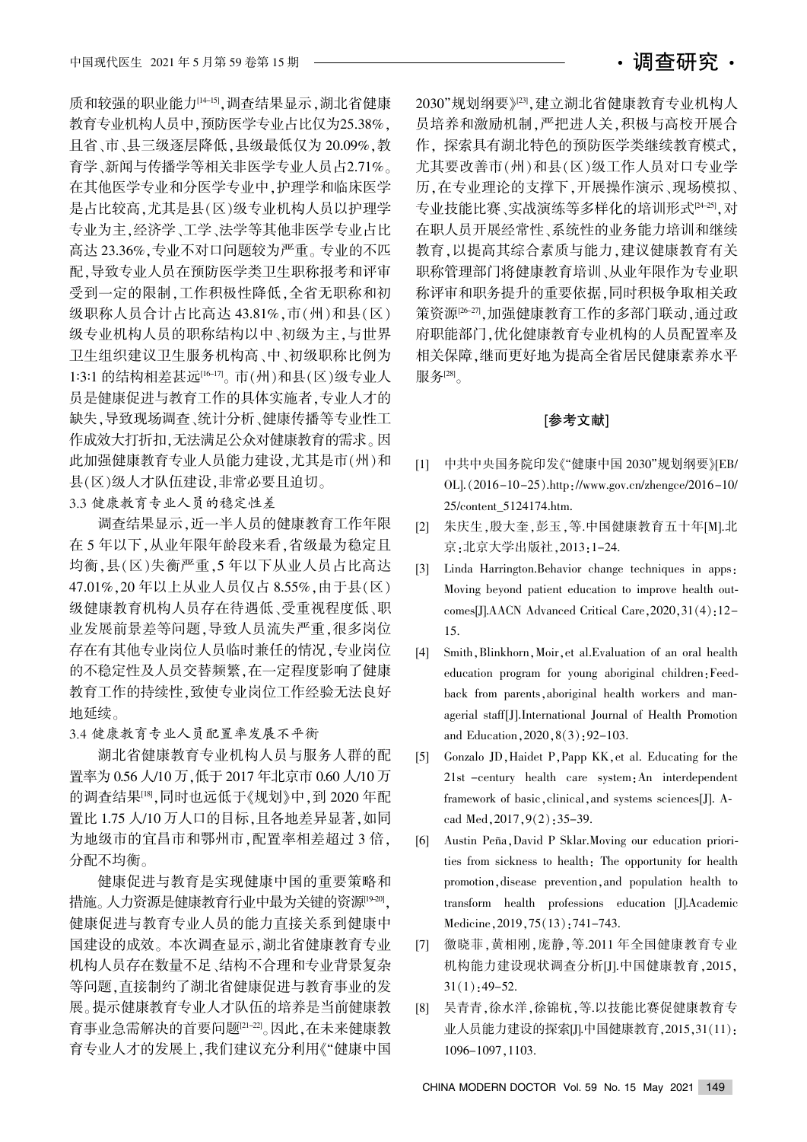质和较强的职业能力[14-15],调查结果显示,湖北省健康 教育专业机构人员中,预防医学专业占比仅为25.38%, 且省、市、县三级逐层降低, 县级最低仅为 20.09%, 教 育学、新闻与传播学等相关非医学专业人员占2.71%。 在其他医学专业和分医学专业中,护理学和临床医学 是占比较高,尤其是县(区)级专业机构人员以护理学 专业为主,经济学、工学、法学等其他非医学专业占比 高达 23.36%,专业不对口问题较为严重。专业的不匹 配,导致专业人员在预防医学类卫生职称报考和评审 受到一定的限制,工作积极性降低,全省无职称和初 级职称人员合计占比高达 43.81%,市(州)和县(区) 级专业机构人员的职称结构以中、初级为主,与世界 卫生组织建议卫生服务机构高、中、初级职称比例为 1:3:1 的结构相差甚远[16-17]。市(州)和县(区)级专业人 员是健康促进与教育工作的具体实施者,专业人才的 缺失,导致现场调查、统计分析、健康传播等专业性工 作成效大打折扣,无法满足公众对健康教育的需求。因 此加强健康教育专业人员能力建设,尤其是市(州)和 县(区)级人才队伍建设,非常必要且迫切。

3.3 健康教育专业人员的稳定性差

调查结果显示,近一半人员的健康教育工作年限 在 5 年以下,从业年限年龄段来看,省级最为稳定且 均衡,县(区)失衡严重,5年以下从业人员占比高达 47.01%, 20 年以上从业人员仅占 8.55%, 由于县(区) 级健康教育机构人员存在待遇低、受重视程度低、职 业发展前景差等问题,导致人员流失严重,很多岗位 存在有其他专业岗位人员临时兼任的情况,专业岗位 的不稳定性及人员交替频繁,在一定程度影响了健康 教育工作的持续性,致使专业岗位工作经验无法良好 地延续。

3.4 健康教育专业人员配置率发展不平衡

湖北省健康教育专业机构人员与服务人群的配 置率为 0.56 人/10 万, 低于 2017 年北京市 0.60 人/10 万 的调查结果<sup>[18</sup>].同时也远低于《规划》中,到 2020 年配 置比 1.75 人/10 万人口的目标,且各地差异显著,如同 为地级市的宜昌市和鄂州市, 配置率相差超过 3 倍, 分配不均衡。

健康促进与教育是实现健康中国的重要策略和 措施。人力资源是健康教育行业中最为关键的资源[19-20]。 健康促进与教育专业人员的能力直接关系到健康中 国建设的成效。本次调查显示,湖北省健康教育专业 机构人员存在数量不足、结构不合理和专业背景复杂 等问题,直接制约了湖北省健康促进与教育事业的发 展。提示健康教育专业人才队伍的培养是当前健康教 育事业急需解决的首要问题[21-22]。因此,在未来健康教 育专业人才的发展上,我们建议充分利用《"健康中国

2030"规划纲要》[23],建立湖北省健康教育专业机构人 员培养和激励机制,严把进人关,积极与高校开展合 作, 探索具有湖北特色的预防医学类继续教育模式, 尤其要改善市(州)和县(区)级工作人员对口专业学 历,在专业理论的支撑下,开展操作演示、现场模拟、 专业技能比赛、实战演练等多样化的培训形式[24-25]、对 在职人员开展经常性、系统性的业务能力培训和继续 教育,以提高其综合素质与能力,建议健康教育有关 职称管理部门将健康教育培训、从业年限作为专业职 称评审和职务提升的重要依据,同时积极争取相关政 策资源[26-27],加强健康教育工作的多部门联动,通过政 府职能部门,优化健康教育专业机构的人员配置率及 相关保障,继而更好地为提高全省居民健康素养水平 服务 $[28]$ 

#### [参考文献]

- [1] 中共中央国务院印发《"健康中国 2030"规划纲要》IEB/ OL]. $(2016-10-25)$ .http://www.gov.cn/zhengce/2016-10/ 25/content\_5124174.htm.
- [2] 朱庆生, 殷大奎, 彭玉, 等. 中国健康教育五十年[M]. 北 京:北京大学出版社, 2013:1-24.
- [3] Linda Harrington. Behavior change techniques in apps. Moving beyond patient education to improve health outcomes[J]. $AACN$  Advanced Critical Care, 2020, 31(4): 12-15.
- [4] Smith, Blinkhorn, Moir, et al. Evaluation of an oral health education program for young aboriginal children: Feedback from parents, aboriginal health workers and managerial staff[J].International Journal of Health Promotion and Education, 2020, 8(3): 92-103.
- [5] Gonzalo JD, Haidet P, Papp KK, et al. Educating for the 21st -century health care system; An interdependent framework of basic, clinical, and systems sciences[J]. Acad Med, 2017, 9(2): 35-39.
- [6] Austin Peña, David P Sklar. Moving our education priorities from sickness to health: The opportunity for health promotion, disease prevention, and population health to transform health professions education [J].Academic Medicine, 2019, 75(13): 741-743.
- [7] 徼晓菲,黄相刚,庞静,等.2011年全国健康教育专业 机构能力建设现状调查分析[J].中国健康教育,2015,  $31(1):49-52.$
- [8] 吴青青,徐水洋,徐锦杭,等.以技能比赛促健康教育专 业人员能力建设的探索[J].中国健康教育,2015,31(11): 1096-1097, 1103.